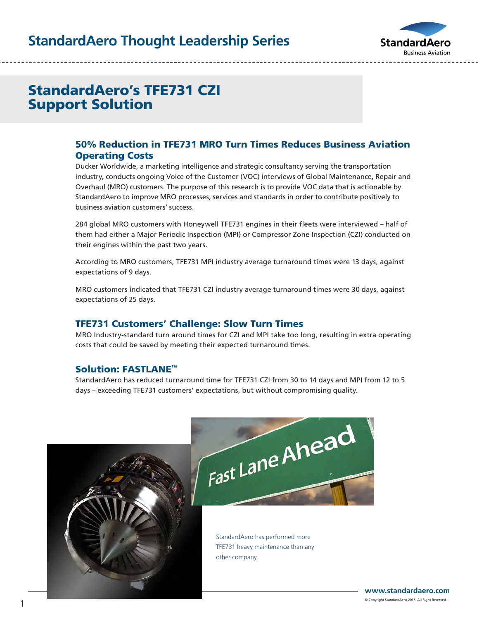# **StandardAero Thought Leadership Series**



# StandardAero's TFE731 CZI Support Solution

### 50% Reduction in TFE731 MRO Turn Times Reduces Business Aviation Operating Costs

Ducker Worldwide, a marketing intelligence and strategic consultancy serving the transportation industry, conducts ongoing Voice of the Customer (VOC) interviews of Global Maintenance, Repair and Overhaul (MRO) customers. The purpose of this research is to provide VOC data that is actionable by StandardAero to improve MRO processes, services and standards in order to contribute positively to business aviation customers' success.

284 global MRO customers with Honeywell TFE731 engines in their fleets were interviewed – half of them had either a Major Periodic Inspection (MPI) or Compressor Zone Inspection (CZI) conducted on their engines within the past two years.

According to MRO customers, TFE731 MPI industry average turnaround times were 13 days, against expectations of 9 days.

MRO customers indicated that TFE731 CZI industry average turnaround times were 30 days, against expectations of 25 days.

#### TFE731 Customers' Challenge: Slow Turn Times

MRO Industry-standard turn around times for CZI and MPI take too long, resulting in extra operating costs that could be saved by meeting their expected turnaround times.

#### Solution: FASTLANE™

StandardAero has reduced turnaround time for TFE731 CZI from 30 to 14 days and MPI from 12 to 5 days – exceeding TFE731 customers' expectations, but without compromising quality.





StandardAero has performed more TFE731 heavy maintenance than any other company.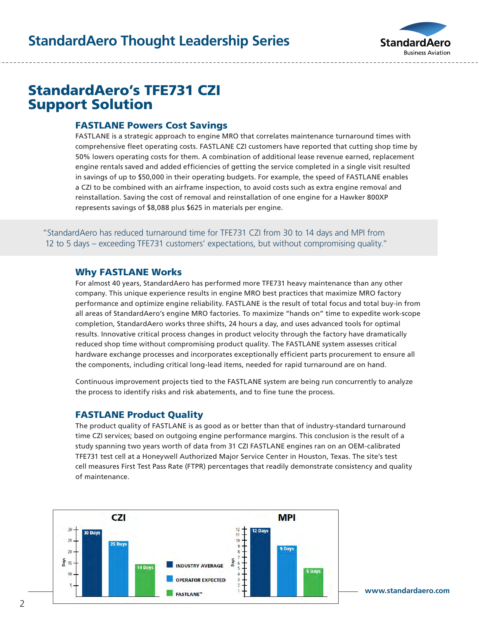

# StandardAero's TFE731 CZI Support Solution

### FASTLANE Powers Cost Savings

FASTLANE is a strategic approach to engine MRO that correlates maintenance turnaround times with comprehensive fleet operating costs. FASTLANE CZI customers have reported that cutting shop time by 50% lowers operating costs for them. A combination of additional lease revenue earned, replacement engine rentals saved and added efficiencies of getting the service completed in a single visit resulted in savings of up to \$50,000 in their operating budgets. For example, the speed of FASTLANE enables a CZI to be combined with an airframe inspection, to avoid costs such as extra engine removal and reinstallation. Saving the cost of removal and reinstallation of one engine for a Hawker 800XP represents savings of \$8,088 plus \$625 in materials per engine.

"StandardAero has reduced turnaround time for TFE731 CZI from 30 to 14 days and MPI from 12 to 5 days – exceeding TFE731 customers' expectations, but without compromising quality."

#### Why FASTLANE Works

For almost 40 years, StandardAero has performed more TFE731 heavy maintenance than any other company. This unique experience results in engine MRO best practices that maximize MRO factory performance and optimize engine reliability. FASTLANE is the result of total focus and total buy-in from all areas of StandardAero's engine MRO factories. To maximize "hands on" time to expedite work-scope completion, StandardAero works three shifts, 24 hours a day, and uses advanced tools for optimal results. Innovative critical process changes in product velocity through the factory have dramatically reduced shop time without compromising product quality. The FASTLANE system assesses critical hardware exchange processes and incorporates exceptionally efficient parts procurement to ensure all the components, including critical long-lead items, needed for rapid turnaround are on hand.

Continuous improvement projects tied to the FASTLANE system are being run concurrently to analyze the process to identify risks and risk abatements, and to fine tune the process.

## FASTLANE Product Quality

The product quality of FASTLANE is as good as or better than that of industry-standard turnaround time CZI services; based on outgoing engine performance margins. This conclusion is the result of a study spanning two years worth of data from 31 CZI FASTLANE engines ran on an OEM-calibrated TFE731 test cell at a Honeywell Authorized Major Service Center in Houston, Texas. The site's test cell measures First Test Pass Rate (FTPR) percentages that readily demonstrate consistency and quality of maintenance.



**www.standardaero.com**